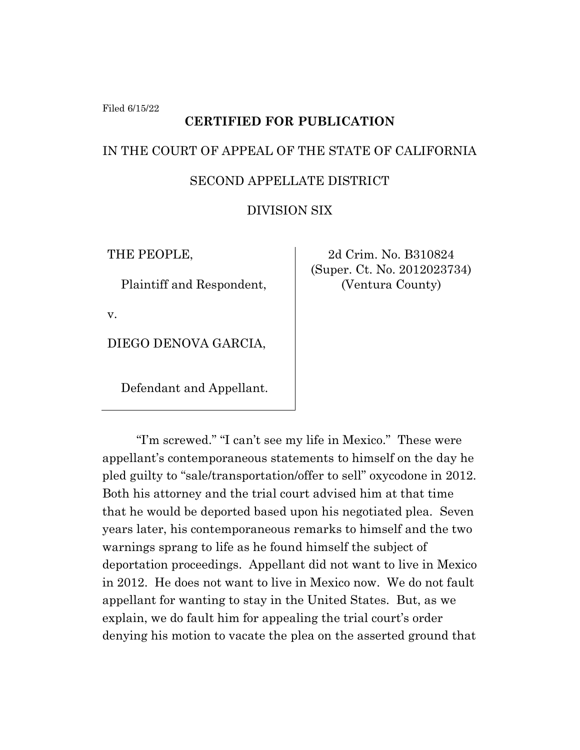Filed 6/15/22

## **CERTIFIED FOR PUBLICATION**

# IN THE COURT OF APPEAL OF THE STATE OF CALIFORNIA

## SECOND APPELLATE DISTRICT

## DIVISION SIX

THE PEOPLE,

Plaintiff and Respondent,

v.

DIEGO DENOVA GARCIA,

Defendant and Appellant.

2d Crim. No. B310824 (Super. Ct. No. 2012023734) (Ventura County)

"I'm screwed." "I can't see my life in Mexico." These were appellant's contemporaneous statements to himself on the day he pled guilty to "sale/transportation/offer to sell" oxycodone in 2012. Both his attorney and the trial court advised him at that time that he would be deported based upon his negotiated plea. Seven years later, his contemporaneous remarks to himself and the two warnings sprang to life as he found himself the subject of deportation proceedings. Appellant did not want to live in Mexico in 2012. He does not want to live in Mexico now. We do not fault appellant for wanting to stay in the United States. But, as we explain, we do fault him for appealing the trial court's order denying his motion to vacate the plea on the asserted ground that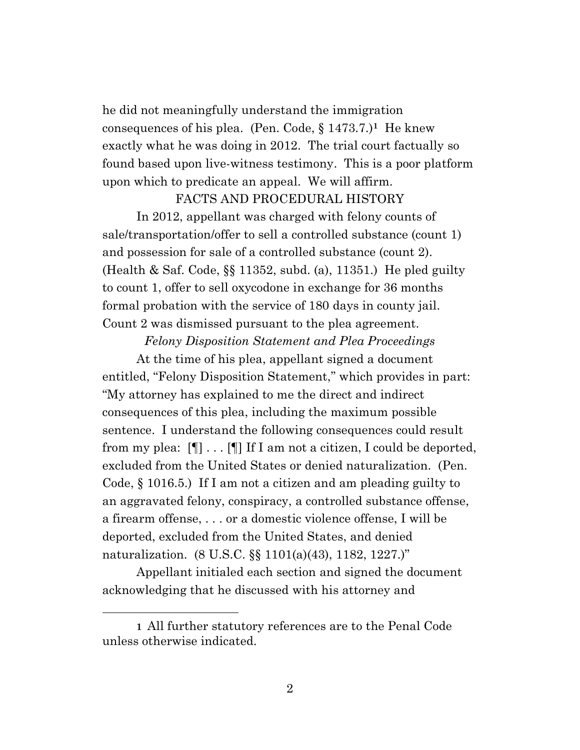he did not meaningfully understand the immigration consequences of his plea. (Pen. Code, § 1473.7.)**1** He knew exactly what he was doing in 2012. The trial court factually so found based upon live-witness testimony. This is a poor platform upon which to predicate an appeal. We will affirm.

#### FACTS AND PROCEDURAL HISTORY

In 2012, appellant was charged with felony counts of sale/transportation/offer to sell a controlled substance (count 1) and possession for sale of a controlled substance (count 2). (Health & Saf. Code, §§ 11352, subd. (a), 11351.) He pled guilty to count 1, offer to sell oxycodone in exchange for 36 months formal probation with the service of 180 days in county jail. Count 2 was dismissed pursuant to the plea agreement.

*Felony Disposition Statement and Plea Proceedings*

At the time of his plea, appellant signed a document entitled, "Felony Disposition Statement," which provides in part: "My attorney has explained to me the direct and indirect consequences of this plea, including the maximum possible sentence. I understand the following consequences could result from my plea:  $[\P] \ldots [\P]$  If I am not a citizen, I could be deported, excluded from the United States or denied naturalization. (Pen. Code, § 1016.5.) If I am not a citizen and am pleading guilty to an aggravated felony, conspiracy, a controlled substance offense, a firearm offense, . . . or a domestic violence offense, I will be deported, excluded from the United States, and denied naturalization. (8 U.S.C. §§ 1101(a)(43), 1182, 1227.)"

Appellant initialed each section and signed the document acknowledging that he discussed with his attorney and

**<sup>1</sup>** All further statutory references are to the Penal Code unless otherwise indicated.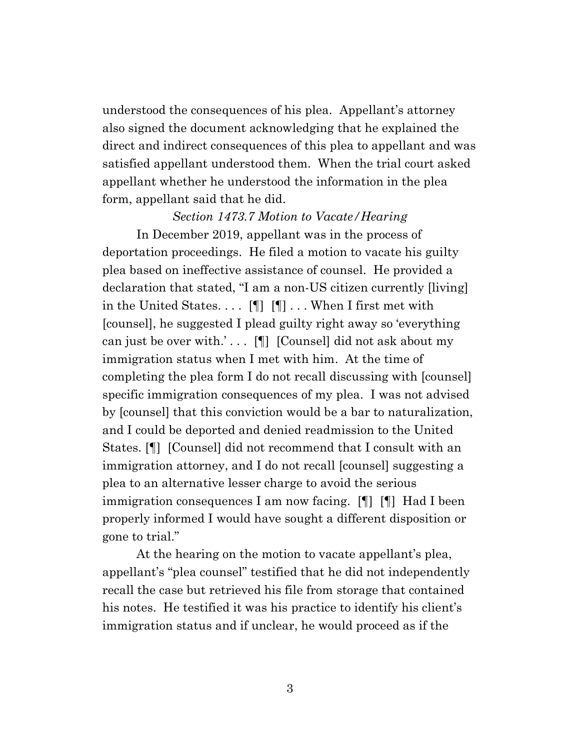understood the consequences of his plea. Appellant's attorney also signed the document acknowledging that he explained the direct and indirect consequences of this plea to appellant and was satisfied appellant understood them. When the trial court asked appellant whether he understood the information in the plea form, appellant said that he did.

#### *Section 1473.7 Motion to Vacate/Hearing*

In December 2019, appellant was in the process of deportation proceedings. He filed a motion to vacate his guilty plea based on ineffective assistance of counsel. He provided a declaration that stated, "I am a non-US citizen currently [living] in the United States.  $\ldots$  [[ [[ ]] . . . When I first met with [counsel], he suggested I plead guilty right away so 'everything can just be over with.' . . . [¶] [Counsel] did not ask about my immigration status when I met with him. At the time of completing the plea form I do not recall discussing with [counsel] specific immigration consequences of my plea. I was not advised by [counsel] that this conviction would be a bar to naturalization, and I could be deported and denied readmission to the United States. [¶] [Counsel] did not recommend that I consult with an immigration attorney, and I do not recall [counsel] suggesting a plea to an alternative lesser charge to avoid the serious immigration consequences I am now facing. [¶] [¶] Had I been properly informed I would have sought a different disposition or gone to trial."

At the hearing on the motion to vacate appellant's plea, appellant's "plea counsel" testified that he did not independently recall the case but retrieved his file from storage that contained his notes. He testified it was his practice to identify his client's immigration status and if unclear, he would proceed as if the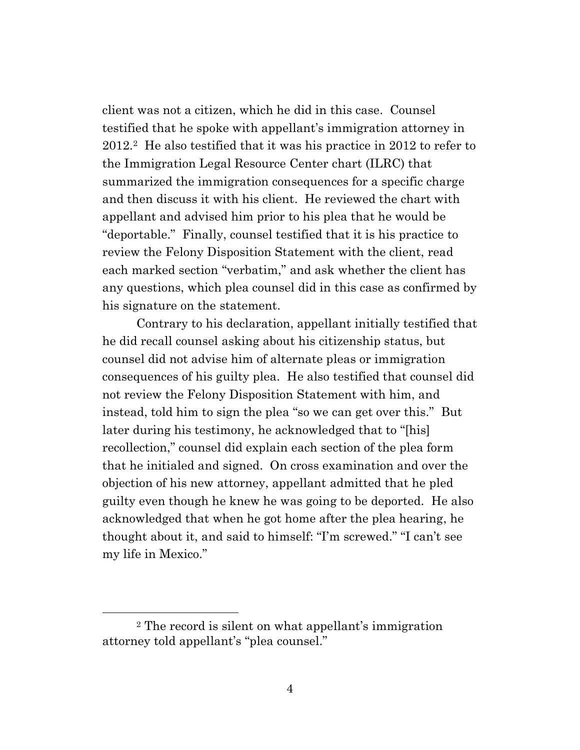client was not a citizen, which he did in this case. Counsel testified that he spoke with appellant's immigration attorney in 2012. 2 He also testified that it was his practice in 2012 to refer to the Immigration Legal Resource Center chart (ILRC) that summarized the immigration consequences for a specific charge and then discuss it with his client. He reviewed the chart with appellant and advised him prior to his plea that he would be "deportable." Finally, counsel testified that it is his practice to review the Felony Disposition Statement with the client, read each marked section "verbatim," and ask whether the client has any questions, which plea counsel did in this case as confirmed by his signature on the statement.

Contrary to his declaration, appellant initially testified that he did recall counsel asking about his citizenship status, but counsel did not advise him of alternate pleas or immigration consequences of his guilty plea. He also testified that counsel did not review the Felony Disposition Statement with him, and instead, told him to sign the plea "so we can get over this." But later during his testimony, he acknowledged that to "[his] recollection," counsel did explain each section of the plea form that he initialed and signed. On cross examination and over the objection of his new attorney, appellant admitted that he pled guilty even though he knew he was going to be deported. He also acknowledged that when he got home after the plea hearing, he thought about it, and said to himself: "I'm screwed." "I can't see my life in Mexico."

<sup>2</sup> The record is silent on what appellant's immigration attorney told appellant's "plea counsel."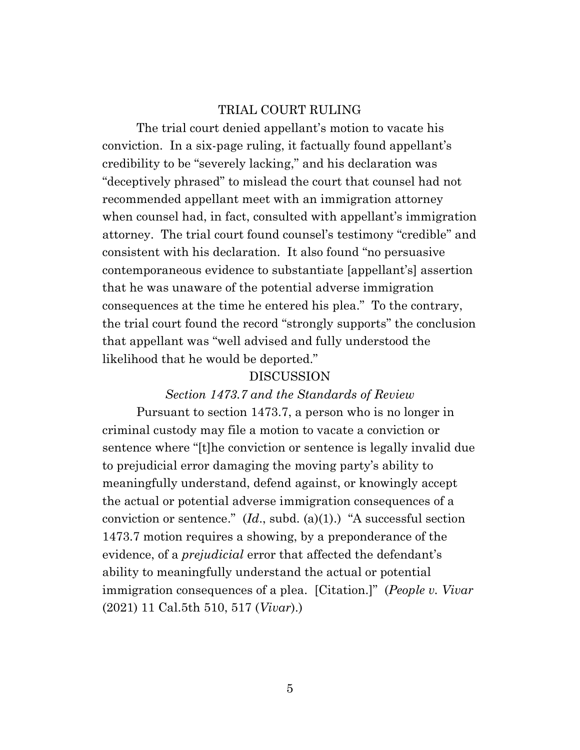#### TRIAL COURT RULING

The trial court denied appellant's motion to vacate his conviction. In a six-page ruling, it factually found appellant's credibility to be "severely lacking," and his declaration was "deceptively phrased" to mislead the court that counsel had not recommended appellant meet with an immigration attorney when counsel had, in fact, consulted with appellant's immigration attorney. The trial court found counsel's testimony "credible" and consistent with his declaration. It also found "no persuasive contemporaneous evidence to substantiate [appellant's] assertion that he was unaware of the potential adverse immigration consequences at the time he entered his plea." To the contrary, the trial court found the record "strongly supports" the conclusion that appellant was "well advised and fully understood the likelihood that he would be deported."

## DISCUSSION

#### *Section 1473.7 and the Standards of Review*

Pursuant to section 1473.7, a person who is no longer in criminal custody may file a motion to vacate a conviction or sentence where "[t]he conviction or sentence is legally invalid due to prejudicial error damaging the moving party's ability to meaningfully understand, defend against, or knowingly accept the actual or potential adverse immigration consequences of a conviction or sentence." (*Id*., subd. (a)(1).) "A successful section 1473.7 motion requires a showing, by a preponderance of the evidence, of a *prejudicial* error that affected the defendant's ability to meaningfully understand the actual or potential immigration consequences of a plea. [Citation.]" (*People v. Vivar* (2021) 11 Cal.5th 510, 517 (*Vivar*).)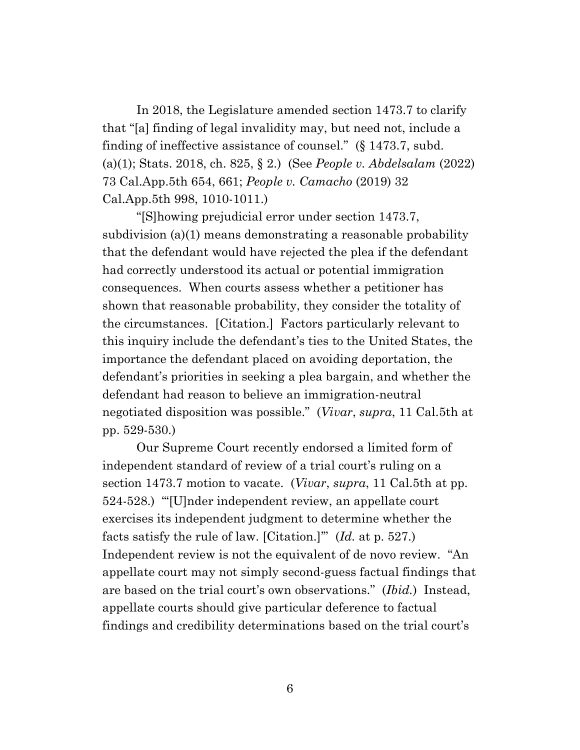In 2018, the Legislature amended section 1473.7 to clarify that "[a] finding of legal invalidity may, but need not, include a finding of ineffective assistance of counsel." (§ 1473.7, subd. (a)(1); Stats. 2018, ch. 825, § 2.) (See *People v. Abdelsalam* (2022) 73 Cal.App.5th 654, 661; *People v. Camacho* (2019) 32 Cal.App.5th 998, 1010-1011.)

"[S]howing prejudicial error under section 1473.7, subdivision (a)(1) means demonstrating a reasonable probability that the defendant would have rejected the plea if the defendant had correctly understood its actual or potential immigration consequences. When courts assess whether a petitioner has shown that reasonable probability, they consider the totality of the circumstances. [Citation.] Factors particularly relevant to this inquiry include the defendant's ties to the United States, the importance the defendant placed on avoiding deportation, the defendant's priorities in seeking a plea bargain, and whether the defendant had reason to believe an immigration-neutral negotiated disposition was possible." (*Vivar*, *supra*, 11 Cal.5th at pp. 529-530.)

Our Supreme Court recently endorsed a limited form of independent standard of review of a trial court's ruling on a section 1473.7 motion to vacate. (*Vivar*, *supra*, 11 Cal.5th at pp. 524-528.) "'[U]nder independent review, an appellate court exercises its independent judgment to determine whether the facts satisfy the rule of law. [Citation.]'" (*Id.* at p. 527.) Independent review is not the equivalent of de novo review. "An appellate court may not simply second-guess factual findings that are based on the trial court's own observations." (*Ibid.*) Instead, appellate courts should give particular deference to factual findings and credibility determinations based on the trial court's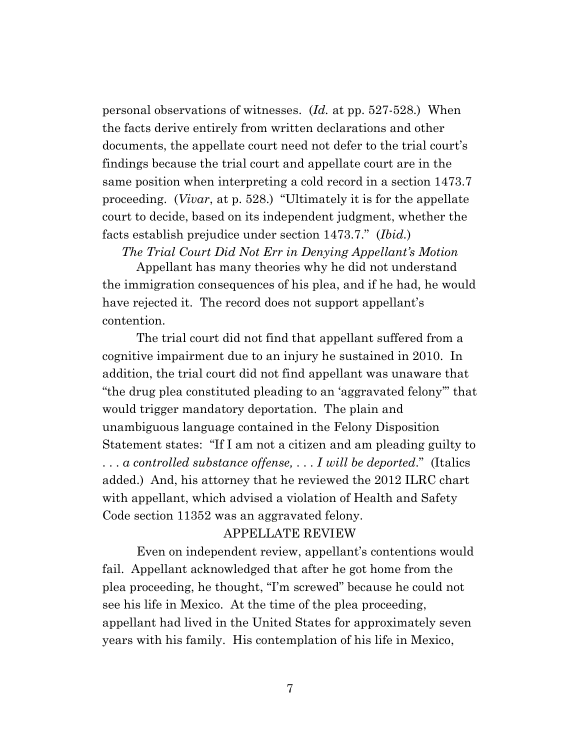personal observations of witnesses. (*Id.* at pp. 527-528.) When the facts derive entirely from written declarations and other documents, the appellate court need not defer to the trial court's findings because the trial court and appellate court are in the same position when interpreting a cold record in a section 1473.7 proceeding. (*Vivar*, at p. 528.) "Ultimately it is for the appellate court to decide, based on its independent judgment, whether the facts establish prejudice under section 1473.7." (*Ibid.*)

#### *The Trial Court Did Not Err in Denying Appellant's Motion*

Appellant has many theories why he did not understand the immigration consequences of his plea, and if he had, he would have rejected it. The record does not support appellant's contention.

The trial court did not find that appellant suffered from a cognitive impairment due to an injury he sustained in 2010. In addition, the trial court did not find appellant was unaware that "the drug plea constituted pleading to an 'aggravated felony'" that would trigger mandatory deportation. The plain and unambiguous language contained in the Felony Disposition Statement states: "If I am not a citizen and am pleading guilty to . . . *a controlled substance offense,* . . . *I will be deported*." (Italics added.) And, his attorney that he reviewed the 2012 ILRC chart with appellant, which advised a violation of Health and Safety Code section 11352 was an aggravated felony.

#### APPELLATE REVIEW

Even on independent review, appellant's contentions would fail. Appellant acknowledged that after he got home from the plea proceeding, he thought, "I'm screwed" because he could not see his life in Mexico. At the time of the plea proceeding, appellant had lived in the United States for approximately seven years with his family. His contemplation of his life in Mexico,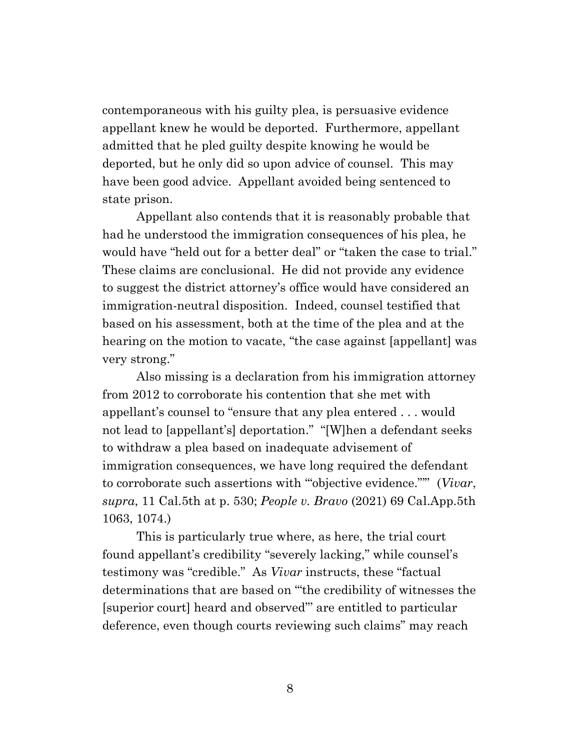contemporaneous with his guilty plea, is persuasive evidence appellant knew he would be deported. Furthermore, appellant admitted that he pled guilty despite knowing he would be deported, but he only did so upon advice of counsel. This may have been good advice. Appellant avoided being sentenced to state prison.

Appellant also contends that it is reasonably probable that had he understood the immigration consequences of his plea, he would have "held out for a better deal" or "taken the case to trial." These claims are conclusional. He did not provide any evidence to suggest the district attorney's office would have considered an immigration-neutral disposition. Indeed, counsel testified that based on his assessment, both at the time of the plea and at the hearing on the motion to vacate, "the case against [appellant] was very strong."

Also missing is a declaration from his immigration attorney from 2012 to corroborate his contention that she met with appellant's counsel to "ensure that any plea entered . . . would not lead to [appellant's] deportation." "[W]hen a defendant seeks to withdraw a plea based on inadequate advisement of immigration consequences, we have long required the defendant to corroborate such assertions with '"objective evidence."'" (*Vivar*, *supra*, 11 Cal.5th at p. 530; *People v. Bravo* (2021) 69 Cal.App.5th 1063, 1074.)

This is particularly true where, as here, the trial court found appellant's credibility "severely lacking," while counsel's testimony was "credible." As *Vivar* instructs, these "factual determinations that are based on '"the credibility of witnesses the [superior court] heard and observed"' are entitled to particular deference, even though courts reviewing such claims" may reach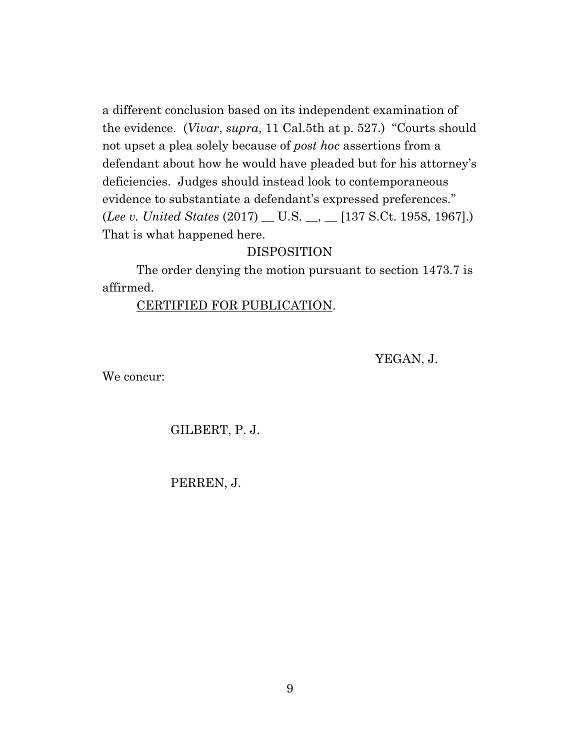a different conclusion based on its independent examination of the evidence. (*Vivar*, *supra*, 11 Cal.5th at p. 527.) "Courts should not upset a plea solely because of *post hoc* assertions from a defendant about how he would have pleaded but for his attorney's deficiencies. Judges should instead look to contemporaneous evidence to substantiate a defendant's expressed preferences." (*Lee v. United States* (2017) \_\_ U.S. \_\_, \_\_ [137 S.Ct. 1958, 1967].) That is what happened here.

## DISPOSITION

The order denying the motion pursuant to section 1473.7 is affirmed.

#### CERTIFIED FOR PUBLICATION.

YEGAN, J.

We concur:

GILBERT, P. J.

PERREN, J.